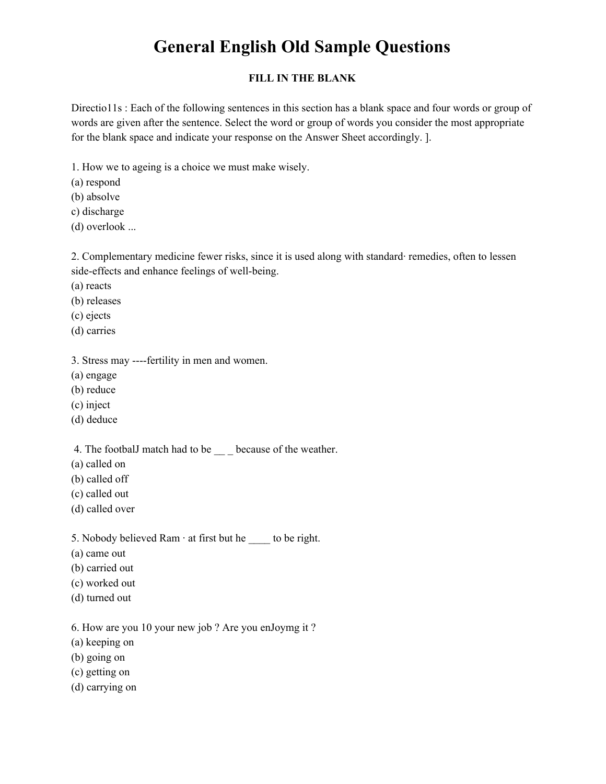### **FILL IN THE BLANK**

Directio11s : Each of the following sentences in this section has a blank space and four words or group of words are given after the sentence. Select the word or group of words you consider the most appropriate for the blank space and indicate your response on the Answer Sheet accordingly. ].

1. How we to ageing is a choice we must make wisely.

(a) respond

(b) absolve

c) discharge

(d) overlook ...

2. Complementary medicine fewer risks, since it is used along with standard· remedies, often to lessen side-effects and enhance feelings of well-being.

(a) reacts

(b) releases

(c) ejects

(d) carries

3. Stress may ----fertility in men and women.

(a) engage

(b) reduce

(c) inject

(d) deduce

4. The footbalJ match had to be \_\_\_ because of the weather.

- (a) called on
- (b) called off
- (c) called out
- (d) called over

5. Nobody believed Ram  $\cdot$  at first but he  $\_\_\_$ to be right.

- (a) came out
- (b) carried out
- (c) worked out
- (d) turned out

6. How are you 10 your new job ? Are you enJoymg it ?

(a) keeping on

(b) going on

(c) getting on

(d) carrying on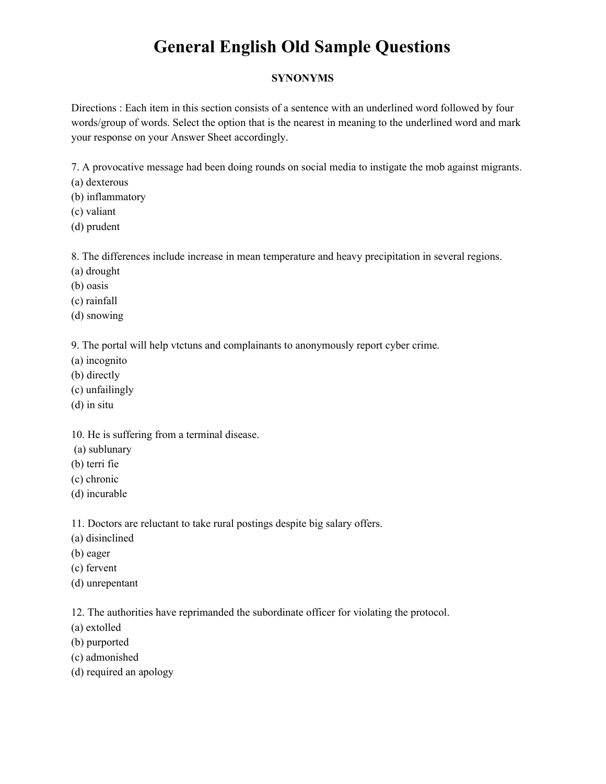### **SYNONYMS**

Directions : Each item in this section consists of a sentence with an underlined word followed by four words/group of words. Select the option that is the nearest in meaning to the underlined word and mark your response on your Answer Sheet accordingly.

7. A provocative message had been doing rounds on social media to instigate the mob against migrants.

(a) dexterous

(b) inflammatory

(c) valiant

(d) prudent

8. The differences include increase in mean temperature and heavy precipitation in several regions.

- (a) drought
- (b) oasis
- (c) rainfall
- (d) snowing

9. The portal will help vtctuns and complainants to anonymously report cyber crime.

- (a) incognito
- (b) directly
- (c) unfailingly
- (d) in situ

10. He is suffering from a terminal disease.

- (a) sublunary
- (b) terri fie
- (c) chronic
- (d) incurable

11. Doctors are reluctant to take rural postings despite big salary offers.

- (a) disinclined
- (b) eager
- (c) fervent
- (d) unrepentant

12. The authorities have reprimanded the subordinate officer for violating the protocol.

- (a) extolled
- (b) purported
- (c) admonished
- (d) required an apology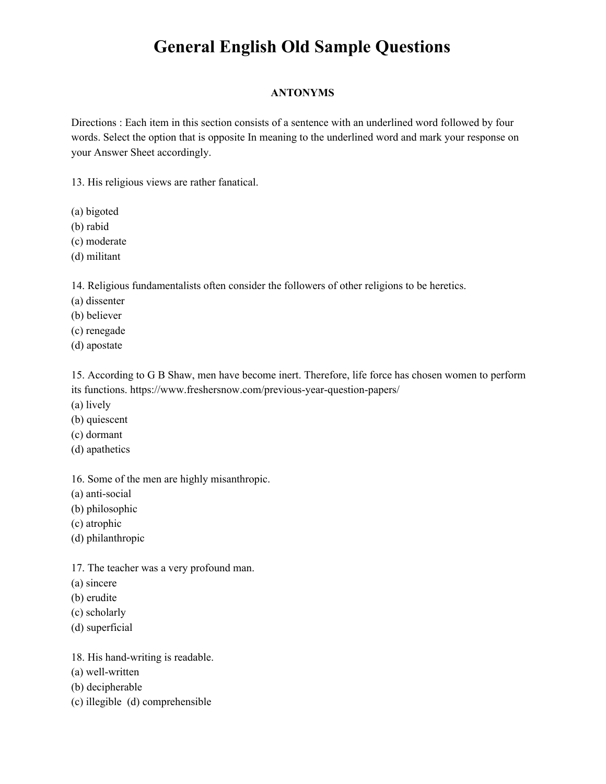### **ANTONYMS**

Directions : Each item in this section consists of a sentence with an underlined word followed by four words. Select the option that is opposite In meaning to the underlined word and mark your response on your Answer Sheet accordingly.

13. His religious views are rather fanatical.

(a) bigoted

(b) rabid

- (c) moderate
- (d) militant

14. Religious fundamentalists often consider the followers of other religions to be heretics.

(a) dissenter

(b) believer

- (c) renegade
- (d) apostate

15. According to G B Shaw, men have become inert. Therefore, life force has chosen women to perform its functions. <https://www.freshersnow.com/previous-year-question-papers/>

- (a) lively
- (b) quiescent
- (c) dormant
- (d) apathetics

16. Some of the men are highly misanthropic.

(a) anti-social

(b) philosophic

(c) atrophic

(d) philanthropic

17. The teacher was a very profound man.

- (a) sincere
- (b) erudite
- (c) scholarly
- (d) superficial

18. His hand-writing is readable.

- (a) well-written
- (b) decipherable
- (c) illegible (d) comprehensible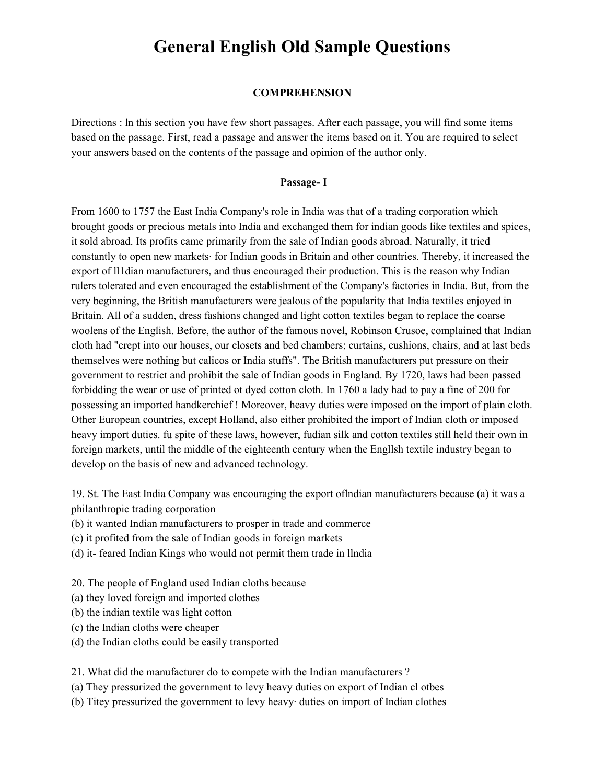#### **COMPREHENSION**

Directions : ln this section you have few short passages. After each passage, you will find some items based on the passage. First, read a passage and answer the items based on it. You are required to select your answers based on the contents of the passage and opinion of the author only.

#### **Passage- I**

From 1600 to 1757 the East India Company's role in India was that of a trading corporation which brought goods or precious metals into India and exchanged them for indian goods like textiles and spices, it sold abroad. Its profits came primarily from the sale of Indian goods abroad. Naturally, it tried constantly to open new markets· for Indian goods in Britain and other countries. Thereby, it increased the export of ll1dian manufacturers, and thus encouraged their production. This is the reason why Indian rulers tolerated and even encouraged the establishment of the Company's factories in India. But, from the very beginning, the British manufacturers were jealous of the popularity that India textiles enjoyed in Britain. All of a sudden, dress fashions changed and light cotton textiles began to replace the coarse woolens of the English. Before, the author of the famous novel, Robinson Crusoe, complained that Indian cloth had "crept into our houses, our closets and bed chambers; curtains, cushions, chairs, and at last beds themselves were nothing but calicos or India stuffs". The British manufacturers put pressure on their government to restrict and prohibit the sale of Indian goods in England. By 1720, laws had been passed forbidding the wear or use of printed ot dyed cotton cloth. In 1760 a lady had to pay a fine of 200 for possessing an imported handkerchief ! Moreover, heavy duties were imposed on the import of plain cloth. Other European countries, except Holland, also either prohibited the import of Indian cloth or imposed heavy import duties. fu spite of these laws, however, fudian silk and cotton textiles still held their own in foreign markets, until the middle of the eighteenth century when the Engllsh textile industry began to develop on the basis of new and advanced technology.

19. St. The East India Company was encouraging the export oflndian manufacturers because (a) it was a philanthropic trading corporation

- (b) it wanted Indian manufacturers to prosper in trade and commerce
- (c) it profited from the sale of Indian goods in foreign markets
- (d) it- feared Indian Kings who would not permit them trade in llndia

20. The people of England used Indian cloths because

(a) they loved foreign and imported clothes

- (b) the indian textile was light cotton
- (c) the Indian cloths were cheaper
- (d) the Indian cloths could be easily transported

21. What did the manufacturer do to compete with the Indian manufacturers ?

- (a) They pressurized the government to levy heavy duties on export of Indian cl otbes
- (b) Titey pressurized the government to levy heavy· duties on import of Indian clothes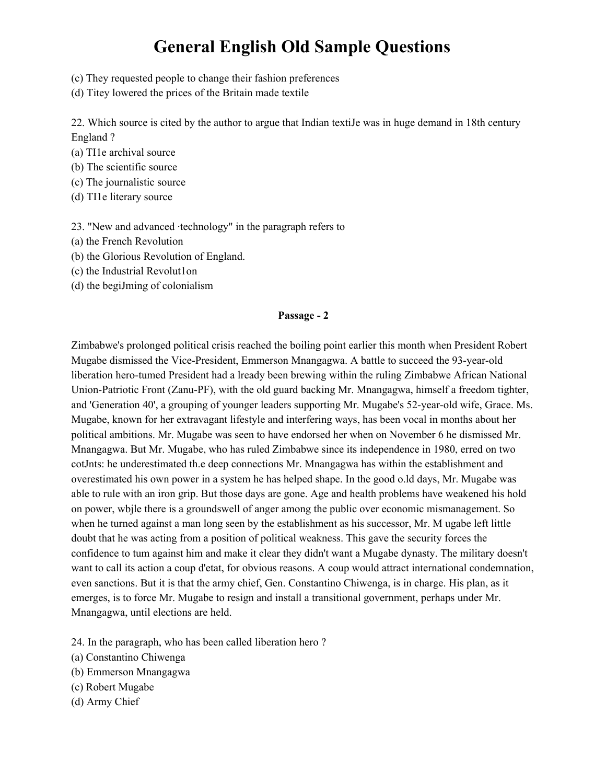- (c) They requested people to change their fashion preferences
- (d) Titey lowered the prices of the Britain made textile

22. Which source is cited by the author to argue that Indian textiJe was in huge demand in 18th century England ?

- (a) TI1e archival source
- (b) The scientific source
- (c) The journalistic source
- (d) TI1e literary source

23. "New and advanced ·technology" in the paragraph refers to

- (a) the French Revolution
- (b) the Glorious Revolution of England.
- (c) the Industrial Revolut1on
- (d) the begiJming of colonialism

#### **Passage - 2**

Zimbabwe's prolonged political crisis reached the boiling point earlier this month when President Robert Mugabe dismissed the Vice-President, Emmerson Mnangagwa. A battle to succeed the 93-year-old liberation hero-tumed President had a lready been brewing within the ruling Zimbabwe African National Union-Patriotic Front (Zanu-PF), with the old guard backing Mr. Mnangagwa, himself a freedom tighter, and 'Generation 40', a grouping of younger leaders supporting Mr. Mugabe's 52-year-old wife, Grace. Ms. Mugabe, known for her extravagant lifestyle and interfering ways, has been vocal in months about her political ambitions. Mr. Mugabe was seen to have endorsed her when on November 6 he dismissed Mr. Mnangagwa. But Mr. Mugabe, who has ruled Zimbabwe since its independence in 1980, erred on two cotJnts: he underestimated th.e deep connections Mr. Mnangagwa has within the establishment and overestimated his own power in a system he has helped shape. In the good o.ld days, Mr. Mugabe was able to rule with an iron grip. But those days are gone. Age and health problems have weakened his hold on power, wbjle there is a groundswell of anger among the public over economic mismanagement. So when he turned against a man long seen by the establishment as his successor, Mr. M ugabe left little doubt that he was acting from a position of political weakness. This gave the security forces the confidence to tum against him and make it clear they didn't want a Mugabe dynasty. The military doesn't want to call its action a coup d'etat, for obvious reasons. A coup would attract international condemnation, even sanctions. But it is that the army chief, Gen. Constantino Chiwenga, is in charge. His plan, as it emerges, is to force Mr. Mugabe to resign and install a transitional government, perhaps under Mr. Mnangagwa, until elections are held.

- 24. In the paragraph, who has been called liberation hero ?
- (a) Constantino Chiwenga
- (b) Emmerson Mnangagwa
- (c) Robert Mugabe
- (d) Army Chief